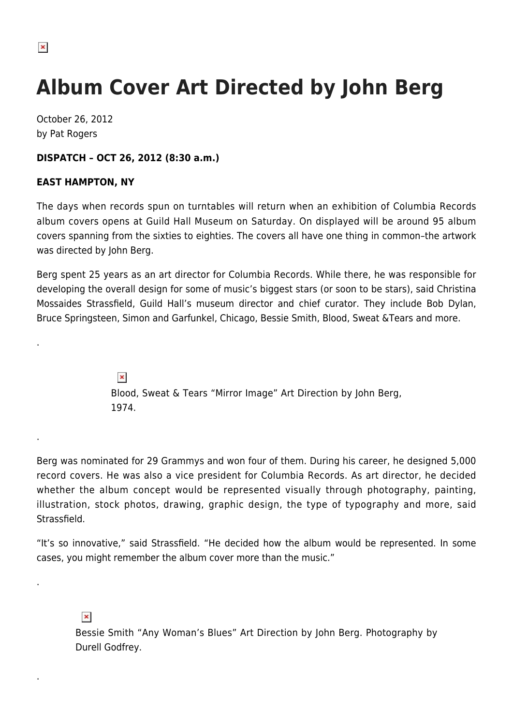.

.

.

.

## **Album Cover Art Directed by John Berg**

October 26, 2012 by Pat Rogers

## **DISPATCH – OCT 26, 2012 (8:30 a.m.)**

## **EAST HAMPTON, NY**

The days when records spun on turntables will return when an exhibition of Columbia Records album covers opens at Guild Hall Museum on Saturday. On displayed will be around 95 album covers spanning from the sixties to eighties. The covers all have one thing in common–the artwork was directed by John Berg.

Berg spent 25 years as an art director for Columbia Records. While there, he was responsible for developing the overall design for some of music's biggest stars (or soon to be stars), said Christina Mossaides Strassfield, Guild Hall's museum director and chief curator. They include Bob Dylan, Bruce Springsteen, Simon and Garfunkel, Chicago, Bessie Smith, Blood, Sweat &Tears and more.

> $\pmb{\times}$ Blood, Sweat & Tears "Mirror Image" Art Direction by John Berg, 1974.

Berg was nominated for 29 Grammys and won four of them. During his career, he designed 5,000 record covers. He was also a vice president for Columbia Records. As art director, he decided whether the album concept would be represented visually through photography, painting, illustration, stock photos, drawing, graphic design, the type of typography and more, said **Strassfield** 

"It's so innovative," said Strassfield. "He decided how the album would be represented. In some cases, you might remember the album cover more than the music."

## $\pmb{\times}$

Bessie Smith "Any Woman's Blues" Art Direction by John Berg. Photography by Durell Godfrey.